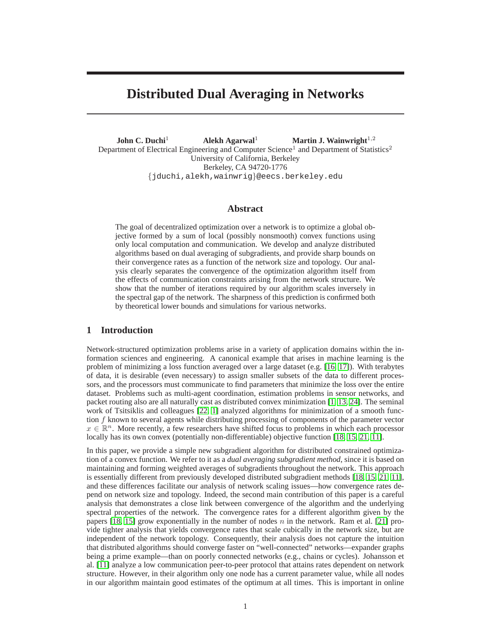# **Distributed Dual Averaging in Networks**

**John C. Duchi**<sup>1</sup> **Alekh Agarwal**<sup>1</sup> **Martin J. Wainwright**<sup>1,2</sup> Department of Electrical Engineering and Computer Science<sup>1</sup> and Department of Statistics<sup>2</sup> University of California, Berkeley Berkeley, CA 94720-1776 {jduchi,alekh,wainwrig}@eecs.berkeley.edu

## **Abstract**

The goal of decentralized optimization over a network is to optimize a global objective formed by a sum of local (possibly nonsmooth) convex functions using only local computation and communication. We develop and analyze distributed algorithms based on dual averaging of subgradients, and provide sharp bounds on their convergence rates as a function of the network size and topology. Our analysis clearly separates the convergence of the optimization algorithm itself from the effects of communication constraints arising from the network structure. We show that the number of iterations required by our algorithm scales inversely in the spectral gap of the network. The sharpness of this prediction is confirmed both by theoretical lower bounds and simulations for various networks.

## <span id="page-0-0"></span>**1 Introduction**

Network-structured optimization problems arise in a variety of application domains within the information sciences and engineering. A canonical example that arises in machine learning is the problem of minimizing a loss function averaged over a large dataset (e.g. [\[16,](#page-8-0) [17\]](#page-8-1)). With terabytes of data, it is desirable (even necessary) to assign smaller subsets of the data to different processors, and the processors must communicate to find parameters that minimize the loss over the entire dataset. Problems such as multi-agent coordination, estimation problems in sensor networks, and packet routing also are all naturally cast as distributed convex minimization [\[1,](#page-8-2) [13,](#page-8-3) [24\]](#page-8-4). The seminal work of Tsitsiklis and colleagues [\[22,](#page-8-5) [1\]](#page-8-2) analyzed algorithms for minimization of a smooth function  $f$  known to several agents while distributing processing of components of the parameter vector  $x \in \mathbb{R}^n$ . More recently, a few researchers have shifted focus to problems in which each processor locally has its own convex (potentially non-differentiable) objective function [\[18,](#page-8-6) [15,](#page-8-7) [21,](#page-8-8) [11\]](#page-8-9).

In this paper, we provide a simple new subgradient algorithm for distributed constrained optimization of a convex function. We refer to it as a *dual averaging subgradient method*, since it is based on maintaining and forming weighted averages of subgradients throughout the network. This approach is essentially different from previously developed distributed subgradient methods [\[18,](#page-8-6) [15,](#page-8-7) [21,](#page-8-8) [11\]](#page-8-9), and these differences facilitate our analysis of network scaling issues—how convergence rates depend on network size and topology. Indeed, the second main contribution of this paper is a careful analysis that demonstrates a close link between convergence of the algorithm and the underlying spectral properties of the network. The convergence rates for a different algorithm given by the papers [\[18,](#page-8-6) [15\]](#page-8-7) grow exponentially in the number of nodes n in the network. Ram et al. [\[21\]](#page-8-8) provide tighter analysis that yields convergence rates that scale cubically in the network size, but are independent of the network topology. Consequently, their analysis does not capture the intuition that distributed algorithms should converge faster on "well-connected" networks—expander graphs being a prime example—than on poorly connected networks (e.g., chains or cycles). Johansson et al. [\[11\]](#page-8-9) analyze a low communication peer-to-peer protocol that attains rates dependent on network structure. However, in their algorithm only one node has a current parameter value, while all nodes in our algorithm maintain good estimates of the optimum at all times. This is important in online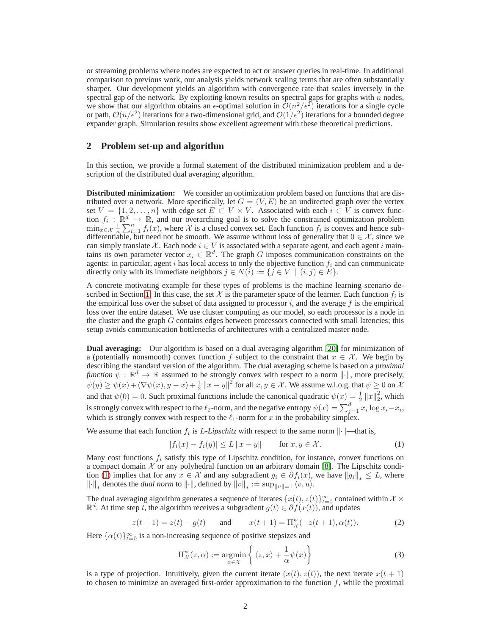or streaming problems where nodes are expected to act or answer queries in real-time. In additional comparison to previous work, our analysis yields network scaling terms that are often substantially sharper. Our development yields an algorithm with convergence rate that scales inversely in the spectral gap of the network. By exploiting known results on spectral gaps for graphs with  $n$  nodes, we show that our algorithm obtains an  $\epsilon$ -optimal solution in  $\mathcal{O}(n^2/\epsilon^2)$  iterations for a single cycle or path,  $\mathcal{O}(n/\epsilon^2)$  iterations for a two-dimensional grid, and  $\mathcal{O}(1/\epsilon^2)$  iterations for a bounded degree expander graph. Simulation results show excellent agreement with these theoretical predictions.

### **2 Problem set-up and algorithm**

In this section, we provide a formal statement of the distributed minimization problem and a description of the distributed dual averaging algorithm.

**Distributed minimization:** We consider an optimization problem based on functions that are distributed over a network. More specifically, let  $G = (V, E)$  be an undirected graph over the vertex set  $V = \{1, 2, ..., n\}$  with edge set  $E \subset V \times V$ . Associated with each  $i \in V$  is convex function  $f_i: \mathbb{R}^d \to \mathbb{R}$ , and our overarching goal is to solve the constrained optimization problem  $\min_{x \in \mathcal{X}} \frac{1}{n} \sum_{i=1}^{n} f_i(x)$ , where X is a closed convex set. Each function  $f_i$  is convex and hence subdifferentiable, but need not be smooth. We assume without loss of generality that  $0 \in \mathcal{X}$ , since we can simply translate X. Each node  $i \in V$  is associated with a separate agent, and each agent i maintains its own parameter vector  $x_i \in \mathbb{R}^d$ . The graph G imposes communication constraints on the agents: in particular, agent i has local access to only the objective function  $f_i$  and can communicate directly only with its immediate neighbors  $j \in N(i) := \{j \in V \mid (i, j) \in E\}.$ 

A concrete motivating example for these types of problems is the machine learning scenario de-scribed in Section [1.](#page-0-0) In this case, the set  $\mathcal X$  is the parameter space of the learner. Each function  $f_i$  is the empirical loss over the subset of data assigned to processor  $i$ , and the average  $f$  is the empirical loss over the entire dataset. We use cluster computing as our model, so each processor is a node in the cluster and the graph  $G$  contains edges between processors connected with small latencies; this setup avoids communication bottlenecks of architectures with a centralized master node.

**Dual averaging:** Our algorithm is based on a dual averaging algorithm [\[20\]](#page-8-10) for minimization of a (potentially nonsmooth) convex function f subject to the constraint that  $x \in \mathcal{X}$ . We begin by describing the standard version of the algorithm. The dual averaging scheme is based on a *proximal function*  $\psi : \mathbb{R}^d \to \mathbb{R}$  assumed to be strongly convex with respect to a norm  $\|\cdot\|$ , more precisely,  $\psi(y) \ge \psi(x) + \langle \nabla \psi(x), y - x \rangle + \frac{1}{2} ||x - y||^2$  for all  $x, y \in \mathcal{X}$ . We assume w.l.o.g. that  $\psi \ge 0$  on  $\mathcal{X}$ and that  $\psi(0) = 0$ . Such proximal functions include the canonical quadratic  $\psi(x) = \frac{1}{2} ||x||_2^2$ , which is strongly convex with respect to the  $\ell_2$ -norm, and the negative entropy  $\psi(x) = \sum_{j=1}^d x_i \log x_i - x_i$ , which is strongly convex with respect to the  $\ell_1$ -norm for x in the probability simplex.

We assume that each function  $f_i$  is L-Lipschitz with respect to the same norm  $\lVert \cdot \rVert$ —that is,

<span id="page-1-0"></span>
$$
|f_i(x) - f_i(y)| \le L \|x - y\| \quad \text{for } x, y \in \mathcal{X}.
$$
 (1)

Many cost functions  $f_i$  satisfy this type of Lipschitz condition, for instance, convex functions on a compact domain  $X$  or any polyhedral function on an arbitrary domain [\[8\]](#page-8-11). The Lipschitz condi-tion [\(1\)](#page-1-0) implies that for any  $x \in \mathcal{X}$  and any subgradient  $g_i \in \partial f_i(x)$ , we have  $||g_i||_* \leq L$ , where  $\left\| \cdot \right\|_*$  denotes the *dual norm* to  $\left\| \cdot \right\|$ , defined by  $\left\| v \right\|_* := \sup_{\left\| u \right\| = 1} \langle v, u \rangle$ .

The dual averaging algorithm generates a sequence of iterates  $\{x(t), z(t)\}_{t=0}^{\infty}$  contained within  $\mathcal{X} \times \mathbb{R}$  $\mathbb{R}^d$ . At time step t, the algorithm receives a subgradient  $g(t) \in \partial f(x(t))$ , and updates

<span id="page-1-2"></span>
$$
z(t+1) = z(t) - g(t)
$$
 and  $x(t+1) = \Pi_{\mathcal{X}}^{\psi}(-z(t+1), \alpha(t)).$  (2)

Here  $\{\alpha(t)\}_{t=0}^{\infty}$  is a non-increasing sequence of positive stepsizes and

<span id="page-1-1"></span>
$$
\Pi_{\mathcal{X}}^{\psi}(z,\alpha) := \underset{x \in \mathcal{X}}{\operatorname{argmin}} \left\{ \langle z,x \rangle + \frac{1}{\alpha} \psi(x) \right\} \tag{3}
$$

is a type of projection. Intuitively, given the current iterate  $(x(t), z(t))$ , the next iterate  $x(t + 1)$ to chosen to minimize an averaged first-order approximation to the function  $f$ , while the proximal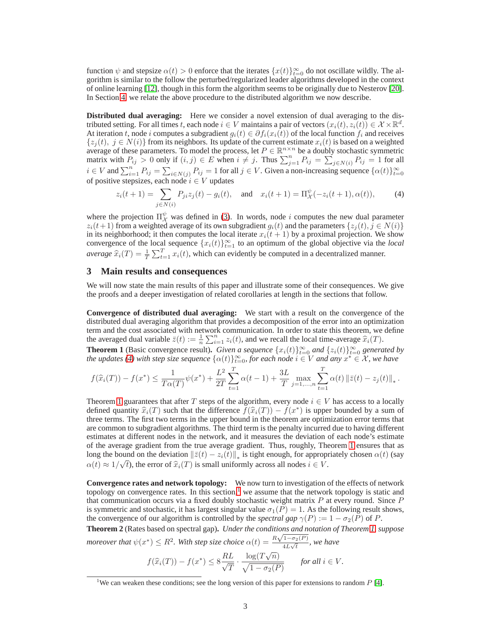function  $\psi$  and stepsize  $\alpha(t) > 0$  enforce that the iterates  $\{x(t)\}_{t=0}^{\infty}$  do not oscillate wildly. The algorithm is similar to the follow the perturbed/regularized leader algorithms developed in the context of online learning [\[12\]](#page-8-12), though in this form the algorithm seems to be originally due to Nesterov [\[20\]](#page-8-10). In Section [4,](#page-4-0) we relate the above procedure to the distributed algorithm we now describe.

**Distributed dual averaging:** Here we consider a novel extension of dual averaging to the distributed setting. For all times t, each node  $i \in V$  maintains a pair of vectors  $(x_i(t), z_i(t)) \in \mathcal{X} \times \mathbb{R}^d$ . At iteration t, node i computes a subgradient  $g_i(t) \in \partial f_i(x_i(t))$  of the local function  $f_i$  and receives  $\{z_i(t), j \in N(i)\}\$  from its neighbors. Its update of the current estimate  $x_i(t)$  is based on a weighted average of these parameters. To model the process, let  $P \in \mathbb{R}^{n \times n}$  be a doubly stochastic symmetric matrix with  $P_{ij} > 0$  only if  $(i, j) \in E$  when  $i \neq j$ . Thus  $\sum_{j=1}^{n} P_{ij} = \sum_{j \in N(i)}^{\infty} P_{ij} = 1$  for all  $i \in V$  and  $\sum_{i=1}^{n} P_{ij} = \sum_{i \in N(j)} P_{ij} = 1$  for all  $j \in V$ . Given a non-increasing sequence  $\{\alpha(t)\}_{t=0}^{\infty}$ of positive stepsizes, each node  $i \in V$  updates

<span id="page-2-0"></span>
$$
z_i(t+1) = \sum_{j \in N(i)} P_{ji} z_j(t) - g_i(t), \text{ and } x_i(t+1) = \Pi_{\mathcal{X}}^{\psi}(-z_i(t+1), \alpha(t)), \quad (4)
$$

where the projection  $\Pi_{\mathcal{X}}^{\psi}$  was defined in [\(3\)](#page-1-1). In words, node i computes the new dual parameter  $z_i(t+1)$  from a weighted average of its own subgradient  $g_i(t)$  and the parameters  $\{z_j(t), j \in N(i)\}$ in its neighborhood; it then computes the local iterate  $x_i(t + 1)$  by a proximal projection. We show convergence of the local sequence  $\{x_i(t)\}_{t=1}^{\infty}$  to an optimum of the global objective via the *local average*  $\hat{x}_i(T) = \frac{1}{T} \sum_{t=1}^T x_i(t)$ , which can evidently be computed in a decentralized manner.

### **3 Main results and consequences**

We will now state the main results of this paper and illustrate some of their consequences. We give the proofs and a deeper investigation of related corollaries at length in the sections that follow.

**Convergence of distributed dual averaging:** We start with a result on the convergence of the distributed dual averaging algorithm that provides a decomposition of the error into an optimization term and the cost associated with network communication. In order to state this theorem, we define the averaged dual variable  $\bar{z}(t) := \frac{1}{n} \sum_{i=1}^{n} z_i(t)$ , and we recall the local time-average  $\hat{x}_i(T)$ .

<span id="page-2-1"></span>**Theorem 1** (Basic convergence result). *Given a sequence*  $\{x_i(t)\}_{t=0}^{\infty}$  *and*  $\{z_i(t)\}_{t=0}^{\infty}$  *generated by the updates* [\(4\)](#page-2-0) with step size sequence  $\{\alpha(t)\}_{t=0}^{\infty}$ , for each node  $i \in V$  and any  $x^* \in \mathcal{X}$ , we have

$$
f(\widehat{x}_i(T)) - f(x^*) \le \frac{1}{T\alpha(T)} \psi(x^*) + \frac{L^2}{2T} \sum_{t=1}^T \alpha(t-1) + \frac{3L}{T} \max_{j=1,\dots,n} \sum_{t=1}^T \alpha(t) \| \overline{z}(t) - z_j(t) \|_*.
$$

Theorem [1](#page-2-1) guarantees that after T steps of the algorithm, every node  $i \in V$  has access to a locally defined quantity  $\hat{x}_i(T)$  such that the difference  $f(\hat{x}_i(T)) - f(x^*)$  is upper bounded by a sum of three terms. The first two terms in the upper bound in the theorem are optimization error terms that are common to subgradient algorithms. The third term is the penalty incurred due to having different estimates at different nodes in the network, and it measures the deviation of each node's estimate of the average gradient from the true average gradient. Thus, roughly, Theorem [1](#page-2-1) ensures that as long the bound on the deviation  $\|\bar{z}(t) - z_i(t)\|_*$  is tight enough, for appropriately chosen  $\alpha(t)$  (say  $\alpha(t) \approx 1/\sqrt{t}$ , the error of  $\hat{x}_i(T)$  is small uniformly across all nodes  $i \in V$ .

**Convergence rates and network topology:** We now turn to investigation of the effects of network topology on convergence rates. In this section, $\frac{1}{1}$  $\frac{1}{1}$  $\frac{1}{1}$  we assume that the network topology is static and that communication occurs via a fixed doubly stochastic weight matrix  $P$  at every round. Since  $P$ is symmetric and stochastic, it has largest singular value  $\sigma_1(P) = 1$ . As the following result shows, the convergence of our algorithm is controlled by the *spectral gap*  $\gamma(P) := 1 - \sigma_2(P)$  of P.

<span id="page-2-3"></span>**Theorem 2** (Rates based on spectral gap)**.** *Under the conditions and notation of Theorem [1,](#page-2-1) suppose moreover that*  $\psi(x^*) \leq R^2$ . With step size choice  $\alpha(t) = \frac{R\sqrt{1-\sigma_2(P)}}{4L\sqrt{t}}$  $\frac{1 - \sigma_2(1)}{4L\sqrt{t}}$ , we have

$$
f(\widehat{x}_i(T)) - f(x^*) \le 8\frac{RL}{\sqrt{T}} \cdot \frac{\log(T\sqrt{n})}{\sqrt{1 - \sigma_2(P)}} \qquad \text{for all } i \in V.
$$

<span id="page-2-2"></span><sup>&</sup>lt;sup>1</sup>We can weaken these conditions; see the long version of this paper for extensions to random  $P$  [\[4\]](#page-8-13).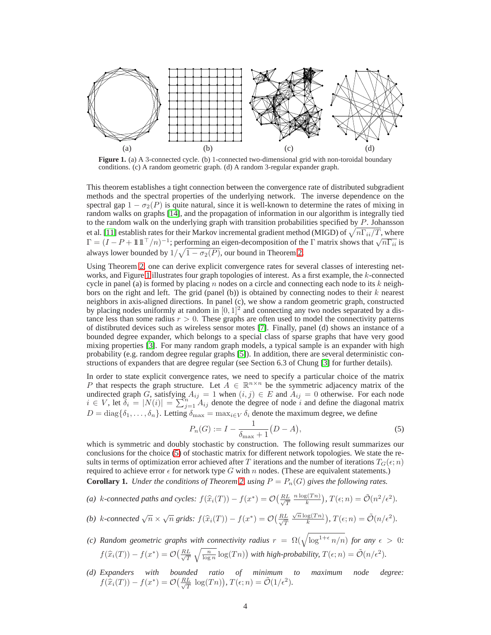

<span id="page-3-0"></span>**Figure 1.** (a) A 3-connected cycle. (b) 1-connected two-dimensional grid with non-toroidal boundary conditions. (c) A random geometric graph. (d) A random 3-regular expander graph.

This theorem establishes a tight connection between the convergence rate of distributed subgradient methods and the spectral properties of the underlying network. The inverse dependence on the spectral gap  $1 - \sigma_2(P)$  is quite natural, since it is well-known to determine the rates of mixing in random walks on graphs [\[14\]](#page-8-14), and the propagation of information in our algorithm is integrally tied to the random walk on the underlying graph with transition probabilities specified by P. Johansson et al. [\[11\]](#page-8-9) establish rates for their Markov incremental gradient method (MIGD) of  $\sqrt{n\Gamma_{ii}/T}$ , where  $\Gamma = (I - P + 111^\top/n)^{-1}$ ; performing an eigen-decomposition of the  $\Gamma$  matrix shows that  $\sqrt{n\Gamma_{ii}}$  is always lower bounded by  $1/\sqrt{1 - \sigma_2(P)}$ , our bound in Theorem [2.](#page-2-3)

Using Theorem [2,](#page-2-3) one can derive explicit convergence rates for several classes of interesting net-works, and Figure [1](#page-3-0) illustrates four graph topologies of interest. As a first example, the  $k$ -connected cycle in panel (a) is formed by placing  $n$  nodes on a circle and connecting each node to its  $k$  neighbors on the right and left. The grid (panel (b)) is obtained by connecting nodes to their  $k$  nearest neighbors in axis-aligned directions. In panel (c), we show a random geometric graph, constructed by placing nodes uniformly at random in  $[0, 1]^2$  and connecting any two nodes separated by a distance less than some radius  $r > 0$ . These graphs are often used to model the connectivity patterns of distibruted devices such as wireless sensor motes [\[7\]](#page-8-15). Finally, panel (d) shows an instance of a bounded degree expander, which belongs to a special class of sparse graphs that have very good mixing properties [\[3\]](#page-8-16). For many random graph models, a typical sample is an expander with high probability (e.g. random degree regular graphs [\[5\]](#page-8-17)). In addition, there are several deterministic constructions of expanders that are degree regular (see Section 6.3 of Chung [\[3\]](#page-8-16) for further details).

In order to state explicit convergence rates, we need to specify a particular choice of the matrix P that respects the graph structure. Let  $A \in \mathbb{R}^{n \times n}$  be the symmetric adjacency matrix of the undirected graph G, satisfying  $A_{ij} = 1$  when  $(i, j) \in E$  and  $A_{ij} = 0$  otherwise. For each node  $i \in V$ , let  $\delta_i = |N(i)| = \sum_{j=1}^n A_{ij}$  denote the degree of node i and define the diagonal matrix  $D = \text{diag}\{\delta_1, \ldots, \delta_n\}$ . Letting  $\delta_{\text{max}} = \max_{i \in V} \delta_i$  denote the maximum degree, we define

<span id="page-3-1"></span>
$$
P_n(G) := I - \frac{1}{\delta_{\max} + 1} (D - A), \tag{5}
$$

which is symmetric and doubly stochastic by construction. The following result summarizes our conclusions for the choice [\(5\)](#page-3-1) of stochastic matrix for different network topologies. We state the results in terms of optimization error achieved after T iterations and the number of iterations  $T_G(\epsilon; n)$ required to achieve error  $\epsilon$  for network type G with n nodes. (These are equivalent statements.) **Corollary 1.** *Under the conditions of Theorem [2,](#page-2-3) using*  $P = P_n(G)$  *gives the following rates.* 

(a) k-connected paths and cycles:  $f(\widehat{x}_i(T)) - f(x^*) = O\left(\frac{RL}{\sqrt{T}}\right)$ T  $n \log(T n)$  $\frac{g(Tn)}{k}$ ,  $T(\epsilon; n) = \tilde{\mathcal{O}}(n^2/\epsilon^2)$ .

(b) k-connected 
$$
\sqrt{n} \times \sqrt{n}
$$
 grids:  $f(\hat{x}_i(T)) - f(x^*) = O(\frac{RL}{\sqrt{T}} \frac{\sqrt{n} \log(T_n)}{k})$ ,  $T(\epsilon; n) = \tilde{O}(n/\epsilon^2)$ .

- *(c)* Random geometric graphs with connectivity radius  $r = \Omega(\sqrt{\log^{1+\epsilon} n/n})$  for any  $\epsilon > 0$ :  $f(\widehat{x}_i(T)) - f(x^*) = \mathcal{O}\left(\frac{RL}{\sqrt{T}}\right)$  $\tau$  $\sqrt{\frac{n}{\log n}} \log(Tn)$ ) with high-probability,  $T(\epsilon; n) = \tilde{\mathcal{O}}(n/\epsilon^2)$ .
- <span id="page-3-2"></span>*(d) Expanders with bounded ratio of minimum to maximum node degree:*  $f(\hat{x}_i(T)) - f(x^*) = \mathcal{O}\left(\frac{RL}{\sqrt{T}}\right)$  $\frac{L}{T} \log(Tn)$ ,  $T(\epsilon; n) = \tilde{\mathcal{O}}(1/\epsilon^2)$ .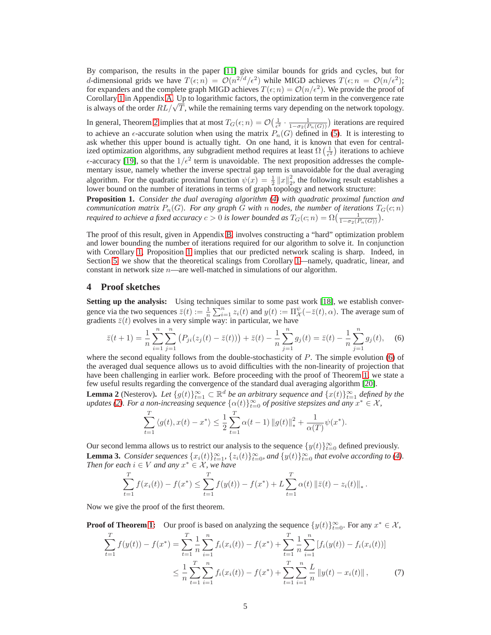By comparison, the results in the paper [\[11\]](#page-8-9) give similar bounds for grids and cycles, but for d-dimensional grids we have  $T(\epsilon; n) = \mathcal{O}(n^{2/d}/\epsilon^2)$  while MIGD achieves  $T(\epsilon; n) = \mathcal{O}(n/\epsilon^2)$ ; for expanders and the complete graph MIGD achieves  $T(\epsilon; n) = \mathcal{O}(n/\epsilon^2)$ . We provide the proof of Corollary [1](#page-3-2) in Appendix [A.](#page--1-0) Up to logarithmic factors, the optimization term in the convergence rate is always of the order  $RL/\sqrt{T}$ , while the remaining terms vary depending on the network topology.

In general, Theorem [2](#page-2-3) implies that at most  $T_G(\epsilon; n) = \mathcal{O}\left(\frac{1}{\epsilon^2} \cdot \frac{1}{1 - \sigma_2(P_n(G))}\right)$  iterations are required to achieve an  $\epsilon$ -accurate solution when using the matrix  $P_n(G)$  defined in [\(5\)](#page-3-1). It is interesting to ask whether this upper bound is actually tight. On one hand, it is known that even for centralized optimization algorithms, any subgradient method requires at least  $\Omega\left(\frac{1}{\epsilon^2}\right)$  iterations to achieve  $\epsilon$ -accuracy [\[19\]](#page-8-18), so that the  $1/\epsilon^2$  term is unavoidable. The next proposition addresses the complementary issue, namely whether the inverse spectral gap term is unavoidable for the dual averaging algorithm. For the quadratic proximal function  $\psi(x) = \frac{1}{2} ||x||_2^2$  $\frac{2}{2}$ , the following result establishes a lower bound on the number of iterations in terms of graph topology and network structure:

<span id="page-4-1"></span>**Proposition 1.** *Consider the dual averaging algorithm [\(4\)](#page-2-0) with quadratic proximal function and communication matrix*  $P_n(G)$ *. For any graph* G with n nodes, the number of iterations  $T_G(c; n)$ *required to achieve a fixed accuracy*  $c > 0$  *is lower bounded as*  $T_G(c; n) = \Omega(\frac{1}{1 - \sigma_2(P_n(G))})$ .

The proof of this result, given in Appendix [B,](#page--1-1) involves constructing a "hard" optimization problem and lower bounding the number of iterations required for our algorithm to solve it. In conjunction with Corollary [1,](#page-3-2) Proposition [1](#page-4-1) implies that our predicted network scaling is sharp. Indeed, in Section [5,](#page-6-0) we show that the theoretical scalings from Corollary [1—](#page-3-2)namely, quadratic, linear, and constant in network size  $n$ —are well-matched in simulations of our algorithm.

#### <span id="page-4-0"></span>**4 Proof sketches**

**Setting up the analysis:** Using techniques similar to some past work [\[18\]](#page-8-6), we establish convergence via the two sequences  $\bar{z}(t) := \frac{1}{n} \sum_{i=1}^{n} z_i(t)$  and  $y(t) := \prod_{\mathcal{X}}^{\psi} (-\bar{z}(t), \alpha)$ . The average sum of gradients  $\bar{z}(t)$  evolves in a very simple way: in particular, we have

<span id="page-4-2"></span>
$$
\bar{z}(t+1) = \frac{1}{n} \sum_{i=1}^{n} \sum_{j=1}^{n} \left( P_{ji}(z_j(t) - \bar{z}(t)) \right) + \bar{z}(t) - \frac{1}{n} \sum_{j=1}^{n} g_j(t) = \bar{z}(t) - \frac{1}{n} \sum_{j=1}^{n} g_j(t), \quad (6)
$$

where the second equality follows from the double-stochasticity of  $P$ . The simple evolution [\(6\)](#page-4-2) of the averaged dual sequence allows us to avoid difficulties with the non-linearity of projection that have been challenging in earlier work. Before proceeding with the proof of Theorem [1,](#page-2-1) we state a few useful results regarding the convergence of the standard dual averaging algorithm [\[20\]](#page-8-10).

<span id="page-4-3"></span>**Lemma 2** (Nesterov). Let  $\{g(t)\}_{t=1}^{\infty} \subset \mathbb{R}^d$  be an arbitrary sequence and  $\{x(t)\}_{t=1}^{\infty}$  defined by the  $u$ pdates [\(2\)](#page-1-2). For a non-increasing sequence  $\{\alpha(t)\}_{t=0}^{\infty}$  of positive stepsizes and any  $x^* \in \mathcal{X}$ ,

$$
\sum_{t=1}^{T} \langle g(t), x(t) - x^* \rangle \le \frac{1}{2} \sum_{t=1}^{T} \alpha(t-1) \|g(t)\|_{*}^{2} + \frac{1}{\alpha(T)} \psi(x^*).
$$

<span id="page-4-5"></span>Our second lemma allows us to restrict our analysis to the sequence  $\{y(t)\}_{t=0}^{\infty}$  defined previously. **Lemma 3.** *Consider sequences*  $\{x_i(t)\}_{t=1}^{\infty}$ ,  $\{z_i(t)\}_{t=0}^{\infty}$ , and  $\{y(t)\}_{t=0}^{\infty}$  that evolve according to [\(4\)](#page-2-0). *Then for each*  $i \in V$  *and any*  $x^* \in \mathcal{X}$ *, we have* 

<span id="page-4-4"></span>
$$
\sum_{t=1}^{T} f(x_i(t)) - f(x^*) \leq \sum_{t=1}^{T} f(y(t)) - f(x^*) + L \sum_{t=1}^{T} \alpha(t) \| \overline{z}(t) - z_i(t) \|_{*}.
$$

Now we give the proof of the first theorem.

**Proof of Theorem [1:](#page-2-1)** Our proof is based on analyzing the sequence  $\{y(t)\}_{t=0}^{\infty}$ . For any  $x^* \in \mathcal{X}$ ,

$$
\sum_{t=1}^{T} f(y(t)) - f(x^*) = \sum_{t=1}^{T} \frac{1}{n} \sum_{i=1}^{n} f_i(x_i(t)) - f(x^*) + \sum_{t=1}^{T} \frac{1}{n} \sum_{i=1}^{n} [f_i(y(t)) - f_i(x_i(t))]
$$
\n
$$
\leq \frac{1}{n} \sum_{t=1}^{T} \sum_{i=1}^{n} f_i(x_i(t)) - f(x^*) + \sum_{t=1}^{T} \sum_{i=1}^{n} \frac{L}{n} ||y(t) - x_i(t)||,
$$
\n(7)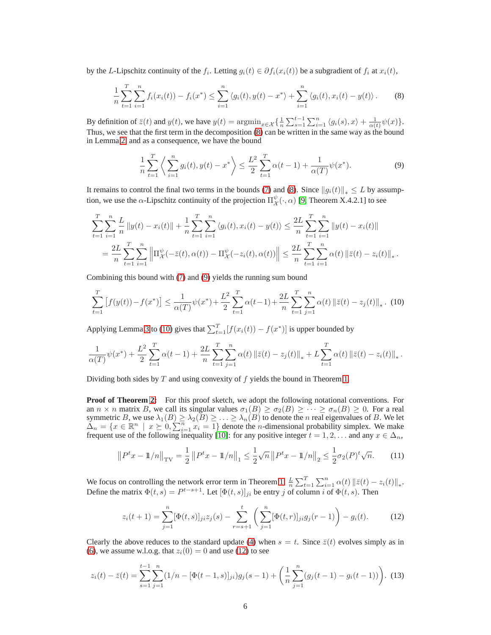by the L-Lipschitz continuity of the  $f_i$ . Letting  $g_i(t) \in \partial f_i(x_i(t))$  be a subgradient of  $f_i$  at  $x_i(t)$ ,

$$
\frac{1}{n}\sum_{t=1}^{T}\sum_{i=1}^{n}f_i(x_i(t)) - f_i(x^*) \le \sum_{i=1}^{n} \langle g_i(t), y(t) - x^* \rangle + \sum_{i=1}^{n} \langle g_i(t), x_i(t) - y(t) \rangle.
$$
 (8)

By definition of  $\bar{z}(t)$  and  $y(t)$ , we have  $y(t) = \operatorname{argmin}_{x \in \mathcal{X}} \left\{ \frac{1}{n} \sum_{s=1}^{t-1} \sum_{i=1}^{n} \langle g_i(s), x \rangle + \frac{1}{\alpha(t)} \psi(x) \right\}$ . Thus, we see that the first term in the decomposition [\(8\)](#page-5-0) can be written in the same way as the bound in Lemma [2,](#page-4-3) and as a consequence, we have the bound

<span id="page-5-1"></span><span id="page-5-0"></span>
$$
\frac{1}{n}\sum_{t=1}^{T} \left\langle \sum_{i=1}^{n} g_i(t), y(t) - x^* \right\rangle \le \frac{L^2}{2} \sum_{t=1}^{T} \alpha(t-1) + \frac{1}{\alpha(T)} \psi(x^*).
$$
 (9)

It remains to control the final two terms in the bounds [\(7\)](#page-4-4) and [\(8\)](#page-5-0). Since  $||g_i(t)||_* \leq L$  by assumption, we use the  $\alpha$ -Lipschitz continuity of the projection  $\Pi^{\psi}_{\lambda}$  $_{\mathcal{X}}^{\psi}(\cdot,\alpha)$  [\[9,](#page-8-19) Theorem X.4.2.1] to see

$$
\sum_{t=1}^{T} \sum_{i=1}^{n} \frac{L}{n} \|y(t) - x_i(t)\| + \frac{1}{n} \sum_{t=1}^{T} \sum_{i=1}^{n} \langle g_i(t), x_i(t) - y(t) \rangle \le \frac{2L}{n} \sum_{t=1}^{T} \sum_{i=1}^{n} \|y(t) - x_i(t)\|
$$
  
= 
$$
\frac{2L}{n} \sum_{t=1}^{T} \sum_{i=1}^{n} \left\| \Pi_{\mathcal{X}}^{\psi}(-\bar{z}(t), \alpha(t)) - \Pi_{\mathcal{X}}^{\psi}(-z_i(t), \alpha(t)) \right\| \le \frac{2L}{n} \sum_{t=1}^{T} \sum_{i=1}^{n} \alpha(t) \left\| \bar{z}(t) - z_i(t) \right\|_{*}.
$$

Combining this bound with [\(7\)](#page-4-4) and [\(9\)](#page-5-1) yields the running sum bound

<span id="page-5-2"></span>
$$
\sum_{t=1}^{T} \left[ f(y(t)) - f(x^*) \right] \le \frac{1}{\alpha(T)} \psi(x^*) + \frac{L^2}{2} \sum_{t=1}^{T} \alpha(t-1) + \frac{2L}{n} \sum_{t=1}^{T} \sum_{j=1}^{n} \alpha(t) \left\| \bar{z}(t) - z_j(t) \right\|_* . \tag{10}
$$

Applying Lemma [3](#page-4-5) to [\(10\)](#page-5-2) gives that  $\sum_{t=1}^{T} [f(x_i(t)) - f(x^*)]$  is upper bounded by

$$
\frac{1}{\alpha(T)}\psi(x^*) + \frac{L^2}{2}\sum_{t=1}^T \alpha(t-1) + \frac{2L}{n}\sum_{t=1}^T \sum_{j=1}^n \alpha(t) \left\|\bar{z}(t) - z_j(t)\right\|_* + L\sum_{t=1}^T \alpha(t) \left\|\bar{z}(t) - z_i(t)\right\|_*.
$$

Dividing both sides by  $T$  and using convexity of  $f$  yields the bound in Theorem [1.](#page-2-1)

**Proof of Theorem [2:](#page-2-3)** For this proof sketch, we adopt the following notational conventions. For an  $n \times n$  matrix B, we call its singular values  $\sigma_1(B) \geq \sigma_2(B) \geq \cdots \geq \sigma_n(B) \geq 0$ . For a real symmetric B, we use  $\lambda_1(B) \geq \lambda_2(B) \geq \ldots \geq \lambda_n(B)$  to denote the n real eigenvalues of B. We let  $\Delta_n = \{x \in \mathbb{R}^n \mid x \succeq 0, \sum_{i=1}^n x_i = 1\}$  denote the *n*-dimensional probability simplex. We make frequent use of the following inequality [\[10\]](#page-8-20): for any positive integer  $t = 1, 2, \dots$  and any  $x \in \Delta_n$ ,

<span id="page-5-5"></span>
$$
\left\|P^t x - \mathbb{1}/n\right\|_{\text{TV}} = \frac{1}{2} \left\|P^t x - \mathbb{1}/n\right\|_1 \le \frac{1}{2} \sqrt{n} \left\|P^t x - \mathbb{1}/n\right\|_2 \le \frac{1}{2} \sigma_2(P)^t \sqrt{n}.\tag{11}
$$

We focus on controlling the network error term in Theorem [1,](#page-2-1)  $\frac{L}{n} \sum_{t=1}^{T} \sum_{i=1}^{n} \alpha(t) ||\bar{z}(t) - z_i(t)||_*$ . Define the matrix  $\Phi(t,s) = P^{t-s+1}$ . Let  $[\Phi(t,s)]_{ji}$  be entry j of column i of  $\Phi(t,s)$ . Then

<span id="page-5-3"></span>
$$
z_i(t+1) = \sum_{j=1}^n [\Phi(t,s)]_{ji} z_j(s) - \sum_{r=s+1}^t \left( \sum_{j=1}^n [\Phi(t,r)]_{ji} g_j(r-1) \right) - g_i(t). \tag{12}
$$

Clearly the above reduces to the standard update [\(4\)](#page-2-0) when  $s = t$ . Since  $\overline{z}(t)$  evolves simply as in [\(6\)](#page-4-2), we assume w.l.o.g. that  $z_i(0) = 0$  and use [\(12\)](#page-5-3) to see

<span id="page-5-4"></span>
$$
z_i(t) - \bar{z}(t) = \sum_{s=1}^{t-1} \sum_{j=1}^n (1/n - [\Phi(t-1, s)]_{ji}) g_j(s-1) + \left(\frac{1}{n} \sum_{j=1}^n (g_j(t-1) - g_i(t-1))\right).
$$
 (13)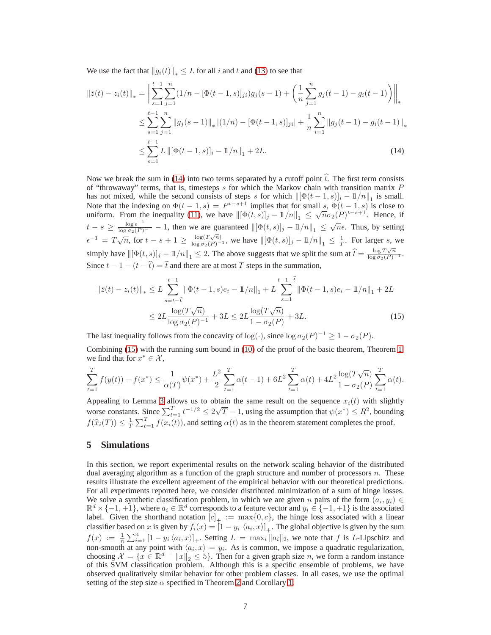We use the fact that  $||g_i(t)||_{\infty} \leq L$  for all i and t and [\(13\)](#page-5-4) to see that

$$
\|\bar{z}(t) - z_i(t)\|_{*} = \left\| \sum_{s=1}^{t-1} \sum_{j=1}^{n} (1/n - [\Phi(t-1, s)]_{ji}) g_j(s-1) + \left( \frac{1}{n} \sum_{j=1}^{n} g_j(t-1) - g_i(t-1) \right) \right\|_{*}
$$
  

$$
\leq \sum_{s=1}^{t-1} \sum_{j=1}^{n} \|g_j(s-1)\|_{*} |(1/n) - [\Phi(t-1, s)]_{ji}| + \frac{1}{n} \sum_{i=1}^{n} \|g_j(t-1) - g_i(t-1)\|_{*}
$$
  

$$
\leq \sum_{s=1}^{t-1} L \left\| [\Phi(t-1, s)]_i - \mathbb{1}/n \right\|_{1} + 2L.
$$
 (14)

<span id="page-6-1"></span>Now we break the sum in [\(14\)](#page-6-1) into two terms separated by a cutoff point  $\hat{t}$ . The first term consists of "throwaway" terms, that is, timesteps  $s$  for which the Markov chain with transition matrix  $P$ has not mixed, while the second consists of steps s for which  $\|[\Phi(t-1,s)]_i - \mathbb{1}/n\|_1$  is small. Note that the indexing on  $\Phi(t-1,s) = P^{t-s+1}$  implies that for small s,  $\Phi(t-1,s)$  is close to uniform. From the inequality [\(11\)](#page-5-5), we have  $\|[\Phi(t,s)]_j - 11/n\|_1 \leq \sqrt{n}\sigma_2(P)^{t-s+1}$ . Hence, if  $t - s \geq \frac{\log \epsilon^{-1}}{\log \sigma_2(P)^{-1}} - 1$ , then we are guaranteed  $\|\phi(t, s)\|_j - 1/n\|_1 \leq \sqrt{n}\epsilon$ . Thus, by setting  $\epsilon^{-1} = T\sqrt{n}$ , for  $t-s+1 \ge \frac{\log(T\sqrt{n})}{\log \sigma_2(P)^{-1}}$ , we have  $\left\| [\Phi(t,s)]_j - 1\!\!1/n \right\|_1 \le \frac{1}{T}$ . For larger s, we simply have  $\left\|\left[\Phi(t,s)\right]_j - \frac{1}{n}\right\|_1 \leq 2$ . The above suggests that we split the sum at  $\hat{t} = \frac{\log T \sqrt{n}}{\log \sigma_2(P) - 1}$ . Since  $t - 1 - (t - \hat{t}) = \hat{t}$  and there are at most T steps in the summation,

<span id="page-6-2"></span>
$$
\|\bar{z}(t) - z_i(t)\|_{*} \le L \sum_{s=t-\hat{t}}^{t-1} \|\Phi(t-1,s)e_i - \mathbb{1}/n\|_{1} + L \sum_{s=1}^{t-1-\hat{t}} \|\Phi(t-1,s)e_i - \mathbb{1}/n\|_{1} + 2L
$$
  

$$
\le 2L \frac{\log(T\sqrt{n})}{\log \sigma_2(P)^{-1}} + 3L \le 2L \frac{\log(T\sqrt{n})}{1 - \sigma_2(P)} + 3L. \tag{15}
$$

The last inequality follows from the concavity of  $log(\cdot)$ , since  $log \sigma_2(P)^{-1} \geq 1 - \sigma_2(P)$ .

Combining [\(15\)](#page-6-2) with the running sum bound in [\(10\)](#page-5-2) of the proof of the basic theorem, Theorem [1,](#page-2-1) we find that for  $x^* \in \mathcal{X}$ ,

$$
\sum_{t=1}^{T} f(y(t)) - f(x^*) \le \frac{1}{\alpha(T)} \psi(x^*) + \frac{L^2}{2} \sum_{t=1}^{T} \alpha(t-1) + 6L^2 \sum_{t=1}^{T} \alpha(t) + 4L^2 \frac{\log(T\sqrt{n})}{1 - \sigma_2(P)} \sum_{t=1}^{T} \alpha(t).
$$

Appealing to Lemma [3](#page-4-5) allows us to obtain the same result on the sequence  $x_i(t)$  with slightly worse constants. Since  $\sum_{t=1}^{T} t^{-1/2} \leq 2\sqrt{T} - 1$ , using the assumption that  $\psi(x^*) \leq R^2$ , bounding  $f(\widehat{x}_i(T)) \leq \frac{1}{T} \sum_{t=1}^T f(x_i(t))$ , and setting  $\alpha(t)$  as in the theorem statement completes the proof.

## <span id="page-6-0"></span>**5 Simulations**

In this section, we report experimental results on the network scaling behavior of the distributed dual averaging algorithm as a function of the graph structure and number of processors  $n$ . These results illustrate the excellent agreement of the empirical behavior with our theoretical predictions. For all experiments reported here, we consider distributed minimization of a sum of hinge losses. We solve a synthetic classification problem, in which we are given n pairs of the form  $(a_i, y_i) \in \mathbb{R}^d$  $\mathbb{R}^d \times \{-1, +1\}$ , where  $a_i \in \mathbb{R}^d$  corresponds to a feature vector and  $y_i \in \{-1, +1\}$  is the associated label. Given the shorthand notation  $[c]_+ := \max\{0, c\}$ , the hinge loss associated with a linear classifier based on x is given by  $f_i(x) = [1 - y_i \langle a_i, x \rangle]_+$ . The global objective is given by the sum  $f(x) := \frac{1}{n} \sum_{i=1}^{n} [1 - y_i \langle a_i, x \rangle]_+$ . Setting  $L = \max_i ||a_i||_2$ , we note that f is L-Lipschitz and  $f(x) = n \sum_{i=1}^n \sum_{i=1}^n a_i \langle a_i, x \rangle = y_i$ . As is common, we impose a quadratic regularization, choosing  $\mathcal{X} = \{x \in \mathbb{R}^d \mid ||x||_2 \le 5\}$ . Then for a given graph size n, we form a random instance of this SVM classification problem. Although this is a specific ensemble of problems, we have observed qualitatively similar behavior for other problem classes. In all cases, we use the optimal setting of the step size  $\alpha$  specified in Theorem [2](#page-2-3) and Corollary [1.](#page-3-2)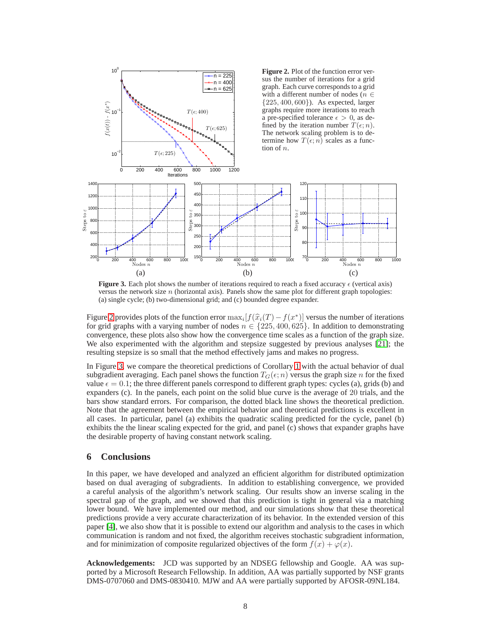<span id="page-7-0"></span>

<span id="page-7-1"></span>**Figure 3.** Each plot shows the number of iterations required to reach a fixed accuracy  $\epsilon$  (vertical axis) versus the network size  $n$  (horizontal axis). Panels show the same plot for different graph topologies: (a) single cycle; (b) two-dimensional grid; and (c) bounded degree expander.

Figure [2](#page-7-0) provides plots of the function error  $\max_i [f(\hat{x}_i(T) - f(x^*))]$  versus the number of iterations for grid graphs with a varying number of nodes  $n \in \{225, 400, 625\}$ . In addition to demonstrating convergence, these plots also show how the convergence time scales as a function of the graph size. We also experimented with the algorithm and stepsize suggested by previous analyses [\[21\]](#page-8-8); the resulting stepsize is so small that the method effectively jams and makes no progress.

In Figure [3,](#page-7-1) we compare the theoretical predictions of Corollary [1](#page-3-2) with the actual behavior of dual subgradient averaging. Each panel shows the function  $T_G(\epsilon; n)$  versus the graph size n for the fixed value  $\epsilon = 0.1$ ; the three different panels correspond to different graph types: cycles (a), grids (b) and expanders (c). In the panels, each point on the solid blue curve is the average of 20 trials, and the bars show standard errors. For comparison, the dotted black line shows the theoretical prediction. Note that the agreement between the empirical behavior and theoretical predictions is excellent in all cases. In particular, panel (a) exhibits the quadratic scaling predicted for the cycle, panel (b) exhibits the the linear scaling expected for the grid, and panel (c) shows that expander graphs have the desirable property of having constant network scaling.

### **6 Conclusions**

In this paper, we have developed and analyzed an efficient algorithm for distributed optimization based on dual averaging of subgradients. In addition to establishing convergence, we provided a careful analysis of the algorithm's network scaling. Our results show an inverse scaling in the spectral gap of the graph, and we showed that this prediction is tight in general via a matching lower bound. We have implemented our method, and our simulations show that these theoretical predictions provide a very accurate characterization of its behavior. In the extended version of this paper [\[4\]](#page-8-13), we also show that it is possible to extend our algorithm and analysis to the cases in which communication is random and not fixed, the algorithm receives stochastic subgradient information, and for minimization of composite regularized objectives of the form  $f(x) + \varphi(x)$ .

**Acknowledgements:** JCD was supported by an NDSEG fellowship and Google. AA was supported by a Microsoft Research Fellowship. In addition, AA was partially supported by NSF grants DMS-0707060 and DMS-0830410. MJW and AA were partially supported by AFOSR-09NL184.